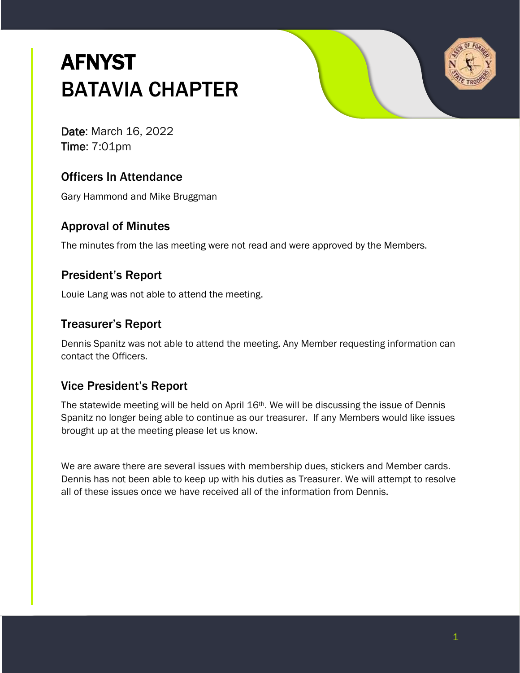# **AFNYST** BATAVIA CHAPTER



Date: March 16, 2022 Time: 7:01pm

# Officers In Attendance

Gary Hammond and Mike Bruggman

#### Approval of Minutes

The minutes from the las meeting were not read and were approved by the Members.

# President's Report

Louie Lang was not able to attend the meeting.

### Treasurer's Report

Dennis Spanitz was not able to attend the meeting. Any Member requesting information can contact the Officers.

# Vice President's Report

The statewide meeting will be held on April 16th. We will be discussing the issue of Dennis Spanitz no longer being able to continue as our treasurer. If any Members would like issues brought up at the meeting please let us know.

We are aware there are several issues with membership dues, stickers and Member cards. Dennis has not been able to keep up with his duties as Treasurer. We will attempt to resolve all of these issues once we have received all of the information from Dennis.